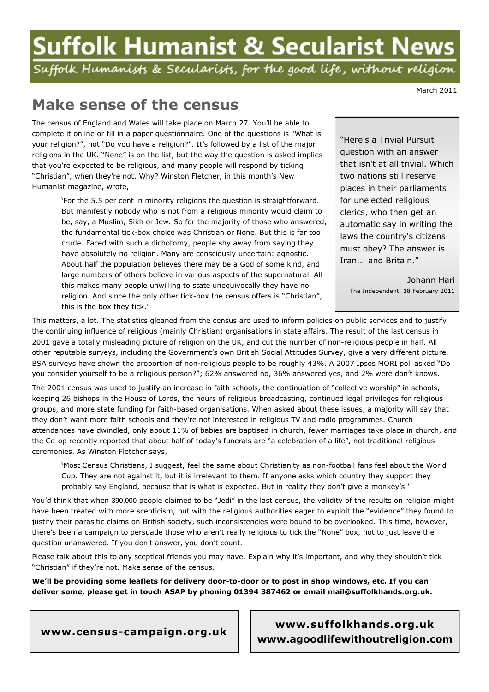# **Suffolk Humanist & Secularist News**

Suffolk Humanists & Secularists, for the good life, without religion

#### March 2011

## **Make sense of the census**

The census of England and Wales will take place on March 27. You'll be able to complete it online or fill in a paper questionnaire. One of the questions is "What is your religion?", not "Do you have a religion?". It's followed by a list of the major religions in the UK. "None" is on the list, but the way the question is asked implies that you're expected to be religious, and many people will respond by ticking "Christian", when they're not. Why? Winston Fletcher, in this month's New Humanist magazine, wrote,

> 'For the 5.5 per cent in minority religions the question is straightforward. But manifestly nobody who is not from a religious minority would claim to be, say, a Muslim, Sikh or Jew. So for the majority of those who answered, the fundamental tick-box choice was Christian or None. But this is far too crude. Faced with such a dichotomy, people shy away from saying they have absolutely no religion. Many are consciously uncertain: agnostic. About half the population believes there may be a God of some kind, and large numbers of others believe in various aspects of the supernatural. All this makes many people unwilling to state unequivocally they have no religion. And since the only other tick-box the census offers is "Christian", this is the box they tick.'

"Here's a Trivial Pursuit question with an answer that isn't at all trivial. Which two nations still reserve places in their parliaments for unelected religious clerics, who then get an automatic say in writing the laws the country's citizens must obey? The answer is Iran... and Britain."

Johann Hari The Independent, 18 February 2011

This matters, a lot. The statistics gleaned from the census are used to inform policies on public services and to justify the continuing influence of religious (mainly Christian) organisations in state affairs. The result of the last census in 2001 gave a totally misleading picture of religion on the UK, and cut the number of non-religious people in half. All other reputable surveys, including the Government's own British Social Attitudes Survey, give a very different picture. BSA surveys have shown the proportion of non-religious people to be roughly 43%. A 2007 Ipsos MORI poll asked "Do you consider yourself to be a religious person?"; 62% answered no, 36% answered yes, and 2% were don't knows.

The 2001 census was used to justify an increase in faith schools, the continuation of "collective worship" in schools, keeping 26 bishops in the House of Lords, the hours of religious broadcasting, continued legal privileges for religious groups, and more state funding for faith-based organisations. When asked about these issues, a majority will say that they don't want more faith schools and they're not interested in religious TV and radio programmes. Church attendances have dwindled, only about 11% of babies are baptised in church, fewer marriages take place in church, and the Co-op recently reported that about half of today's funerals are "a celebration of a life", not traditional religious ceremonies. As Winston Fletcher says,

'Most Census Christians, I suggest, feel the same about Christianity as non-football fans feel about the World Cup. They are not against it, but it is irrelevant to them. If anyone asks which country they support they probably say England, because that is what is expected. But in reality they don't give a monkey's.'

You'd think that when 390,000 people claimed to be "Jedi" in the last census, the validity of the results on religion might have been treated with more scepticism, but with the religious authorities eager to exploit the "evidence" they found to justify their parasitic claims on British society, such inconsistencies were bound to be overlooked. This time, however, there's been a campaign to persuade those who aren't really religious to tick the "None" box, not to just leave the question unanswered. If you don't answer, you don't count.

Please talk about this to any sceptical friends you may have. Explain why it's important, and why they shouldn't tick "Christian" if they're not. Make sense of the census.

**We'll be providing some leaflets for delivery door-to-door or to post in shop windows, etc. If you can deliver some, please get in touch ASAP by phoning 01394 387462 or email mail@suffolkhands.org.uk.**

**www.census-campaign.org.uk** 

**www.suffolkhands.org.uk www.agoodlifewithoutreligion.com**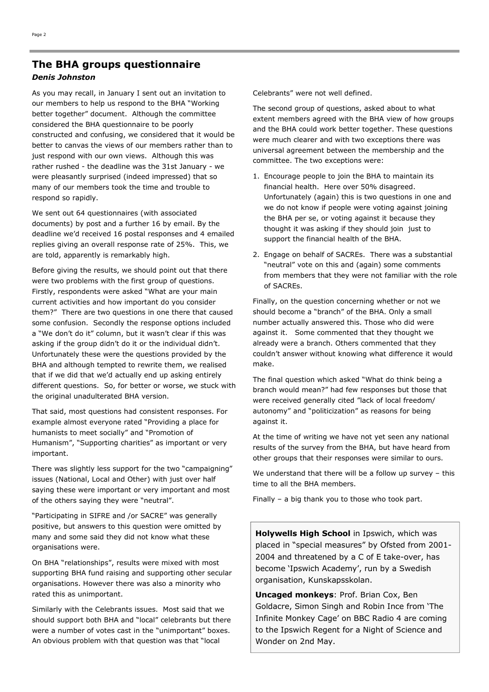#### **The BHA groups questionnaire**  *Denis Johnston*

As you may recall, in January I sent out an invitation to our members to help us respond to the BHA "Working better together" document. Although the committee considered the BHA questionnaire to be poorly constructed and confusing, we considered that it would be better to canvas the views of our members rather than to just respond with our own views. Although this was rather rushed - the deadline was the 31st January - we were pleasantly surprised (indeed impressed) that so many of our members took the time and trouble to respond so rapidly.

We sent out 64 questionnaires (with associated documents) by post and a further 16 by email. By the deadline we'd received 16 postal responses and 4 emailed replies giving an overall response rate of 25%. This, we are told, apparently is remarkably high.

Before giving the results, we should point out that there were two problems with the first group of questions. Firstly, respondents were asked "What are your main current activities and how important do you consider them?" There are two questions in one there that caused some confusion. Secondly the response options included a "We don't do it" column, but it wasn't clear if this was asking if the group didn't do it or the individual didn't. Unfortunately these were the questions provided by the BHA and although tempted to rewrite them, we realised that if we did that we'd actually end up asking entirely different questions. So, for better or worse, we stuck with the original unadulterated BHA version.

That said, most questions had consistent responses. For example almost everyone rated "Providing a place for humanists to meet socially" and "Promotion of Humanism", "Supporting charities" as important or very important.

There was slightly less support for the two "campaigning" issues (National, Local and Other) with just over half saying these were important or very important and most of the others saying they were "neutral".

"Participating in SIFRE and /or SACRE" was generally positive, but answers to this question were omitted by many and some said they did not know what these organisations were.

On BHA "relationships", results were mixed with most supporting BHA fund raising and supporting other secular organisations. However there was also a minority who rated this as unimportant.

Similarly with the Celebrants issues. Most said that we should support both BHA and "local" celebrants but there were a number of votes cast in the "unimportant" boxes. An obvious problem with that question was that "local

Celebrants" were not well defined.

The second group of questions, asked about to what extent members agreed with the BHA view of how groups and the BHA could work better together. These questions were much clearer and with two exceptions there was universal agreement between the membership and the committee. The two exceptions were:

- 1. Encourage people to join the BHA to maintain its financial health. Here over 50% disagreed. Unfortunately (again) this is two questions in one and we do not know if people were voting against joining the BHA per se, or voting against it because they thought it was asking if they should join just to support the financial health of the BHA.
- 2. Engage on behalf of SACREs. There was a substantial "neutral" vote on this and (again) some comments from members that they were not familiar with the role of SACREs.

Finally, on the question concerning whether or not we should become a "branch" of the BHA. Only a small number actually answered this. Those who did were against it. Some commented that they thought we already were a branch. Others commented that they couldn't answer without knowing what difference it would make.

The final question which asked "What do think being a branch would mean?" had few responses but those that were received generally cited "lack of local freedom/ autonomy" and "politicization" as reasons for being against it.

At the time of writing we have not yet seen any national results of the survey from the BHA, but have heard from other groups that their responses were similar to ours.

We understand that there will be a follow up survey – this time to all the BHA members.

Finally – a big thank you to those who took part.

**Holywells High School** in Ipswich, which was placed in "special measures" by Ofsted from 2001- 2004 and threatened by a C of E take-over, has become 'Ipswich Academy', run by a Swedish organisation, Kunskapsskolan.

**Uncaged monkeys**: Prof. Brian Cox, Ben Goldacre, Simon Singh and Robin Ince from 'The Infinite Monkey Cage' on BBC Radio 4 are coming to the Ipswich Regent for a Night of Science and Wonder on 2nd May.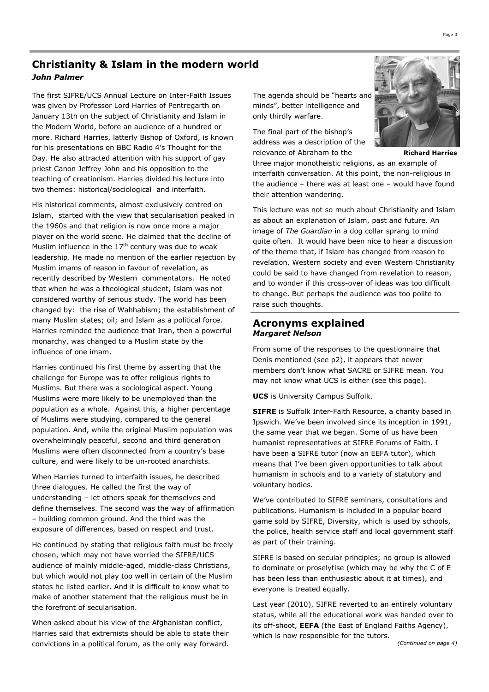## **Christianity & Islam in the modern world**  *John Palmer*

The first SIFRE/UCS Annual Lecture on Inter-Faith Issues was given by Professor Lord Harries of Pentregarth on January 13th on the subject of Christianity and Islam in the Modern World, before an audience of a hundred or more. Richard Harries, latterly Bishop of Oxford, is known for his presentations on BBC Radio 4's Thought for the Day. He also attracted attention with his support of gay priest Canon Jeffrey John and his opposition to the teaching of creationism. Harries divided his lecture into two themes: historical/sociological and interfaith.

His historical comments, almost exclusively centred on Islam, started with the view that secularisation peaked in the 1960s and that religion is now once more a major player on the world scene. He claimed that the decline of Muslim influence in the  $17<sup>th</sup>$  century was due to weak leadership. He made no mention of the earlier rejection by Muslim imams of reason in favour of revelation, as recently described by Western commentators. He noted that when he was a theological student, Islam was not considered worthy of serious study. The world has been changed by: the rise of Wahhabism; the establishment of many Muslim states; oil; and Islam as a political force. Harries reminded the audience that Iran, then a powerful monarchy, was changed to a Muslim state by the influence of one imam.

Harries continued his first theme by asserting that the challenge for Europe was to offer religious rights to Muslims. But there was a sociological aspect. Young Muslims were more likely to be unemployed than the population as a whole. Against this, a higher percentage of Muslims were studying, compared to the general population. And, while the original Muslim population was overwhelmingly peaceful, second and third generation Muslims were often disconnected from a country's base culture, and were likely to be un-rooted anarchists.

When Harries turned to interfaith issues, he described three dialogues. He called the first the way of understanding – let others speak for themselves and define themselves. The second was the way of affirmation – building common ground. And the third was the exposure of differences, based on respect and trust.

He continued by stating that religious faith must be freely chosen, which may not have worried the SIFRE/UCS audience of mainly middle-aged, middle-class Christians, but which would not play too well in certain of the Muslim states he listed earlier. And it is difficult to know what to make of another statement that the religious must be in the forefront of secularisation.

When asked about his view of the Afghanistan conflict, Harries said that extremists should be able to state their convictions in a political forum, as the only way forward. The agenda should be "hearts and minds", better intelligence and only thirdly warfare.

The final part of the bishop's address was a description of the relevance of Abraham to the

**Richard Harries** 

three major monotheistic religions, as an example of interfaith conversation. At this point, the non-religious in the audience – there was at least one – would have found their attention wandering.

This lecture was not so much about Christianity and Islam as about an explanation of Islam, past and future. An image of *The Guardian* in a dog collar sprang to mind quite often. It would have been nice to hear a discussion of the theme that, if Islam has changed from reason to revelation, Western society and even Western Christianity could be said to have changed from revelation to reason, and to wonder if this cross-over of ideas was too difficult to change. But perhaps the audience was too polite to raise such thoughts.

#### **Acronyms explained**  *Margaret Nelson*

From some of the responses to the questionnaire that Denis mentioned (see p2), it appears that newer members don't know what SACRE or SIFRE mean. You may not know what UCS is either (see this page).

**UCS** is University Campus Suffolk.

**SIFRE** is Suffolk Inter-Faith Resource, a charity based in Ipswich. We've been involved since its inception in 1991, the same year that we began. Some of us have been humanist representatives at SIFRE Forums of Faith. I have been a SIFRE tutor (now an EEFA tutor), which means that I've been given opportunities to talk about humanism in schools and to a variety of statutory and voluntary bodies.

We've contributed to SIFRE seminars, consultations and publications. Humanism is included in a popular board game sold by SIFRE, Diversity, which is used by schools, the police, health service staff and local government staff as part of their training.

SIFRE is based on secular principles; no group is allowed to dominate or proselytise (which may be why the C of E has been less than enthusiastic about it at times), and everyone is treated equally.

Last year (2010), SIFRE reverted to an entirely voluntary status, while all the educational work was handed over to its off-shoot, **EEFA** (the East of England Faiths Agency), which is now responsible for the tutors.